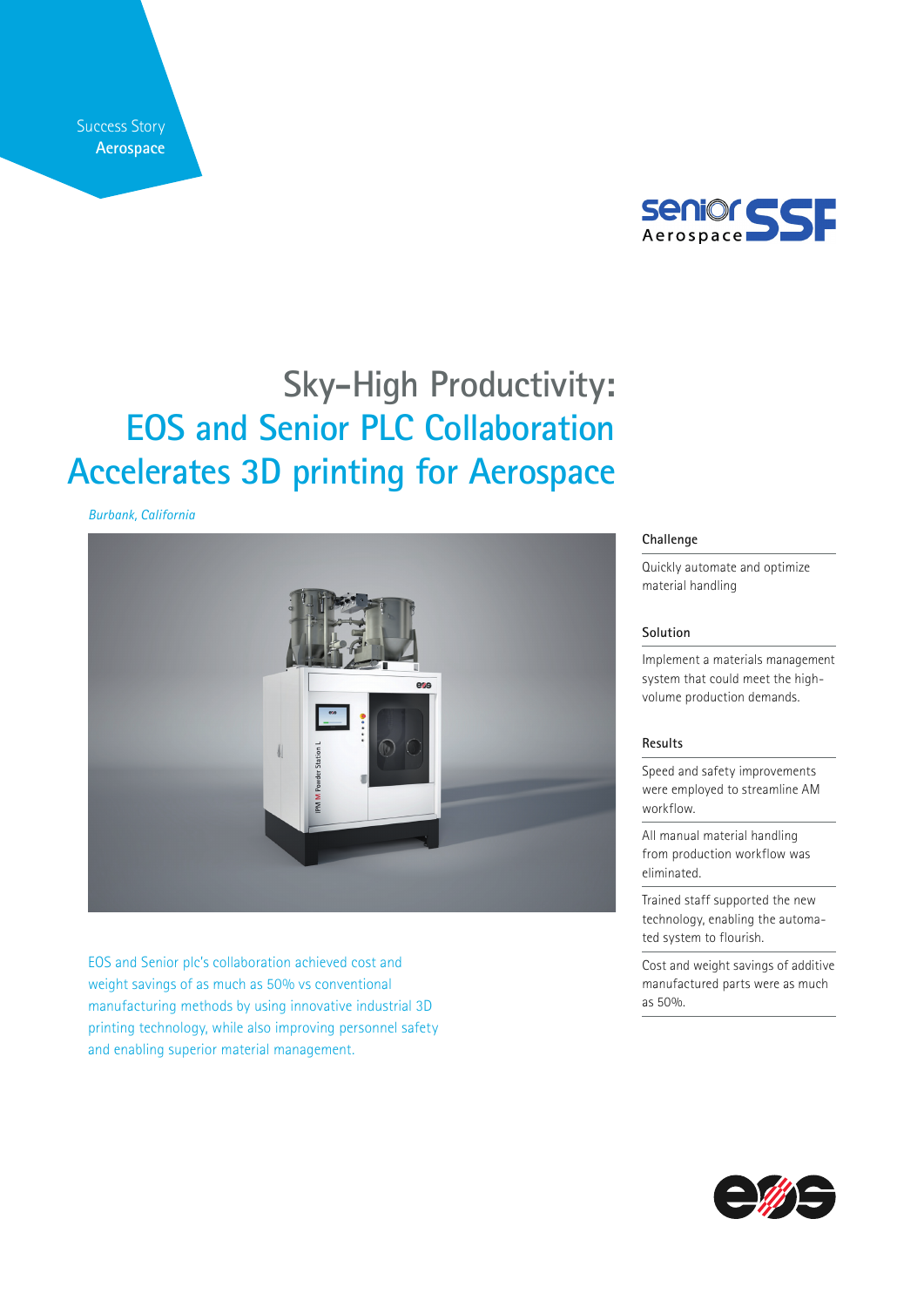Success Story **Aerospace**



# **Sky-High Productivity: EOS and Senior PLC Collaboration Accelerates 3D printing for Aerospace**

*Burbank, California*



EOS and Senior plc's collaboration achieved cost and weight savings of as much as 50% vs conventional manufacturing methods by using innovative industrial 3D printing technology, while also improving personnel safety and enabling superior material management.

### **Challenge**

Quickly automate and optimize material handling

### **Solution**

Implement a materials management system that could meet the highvolume production demands.

## **Results**

Speed and safety improvements were employed to streamline AM workflow.

All manual material handling from production workflow was eliminated.

Trained staff supported the new technology, enabling the automated system to flourish.

Cost and weight savings of additive manufactured parts were as much as 50%.

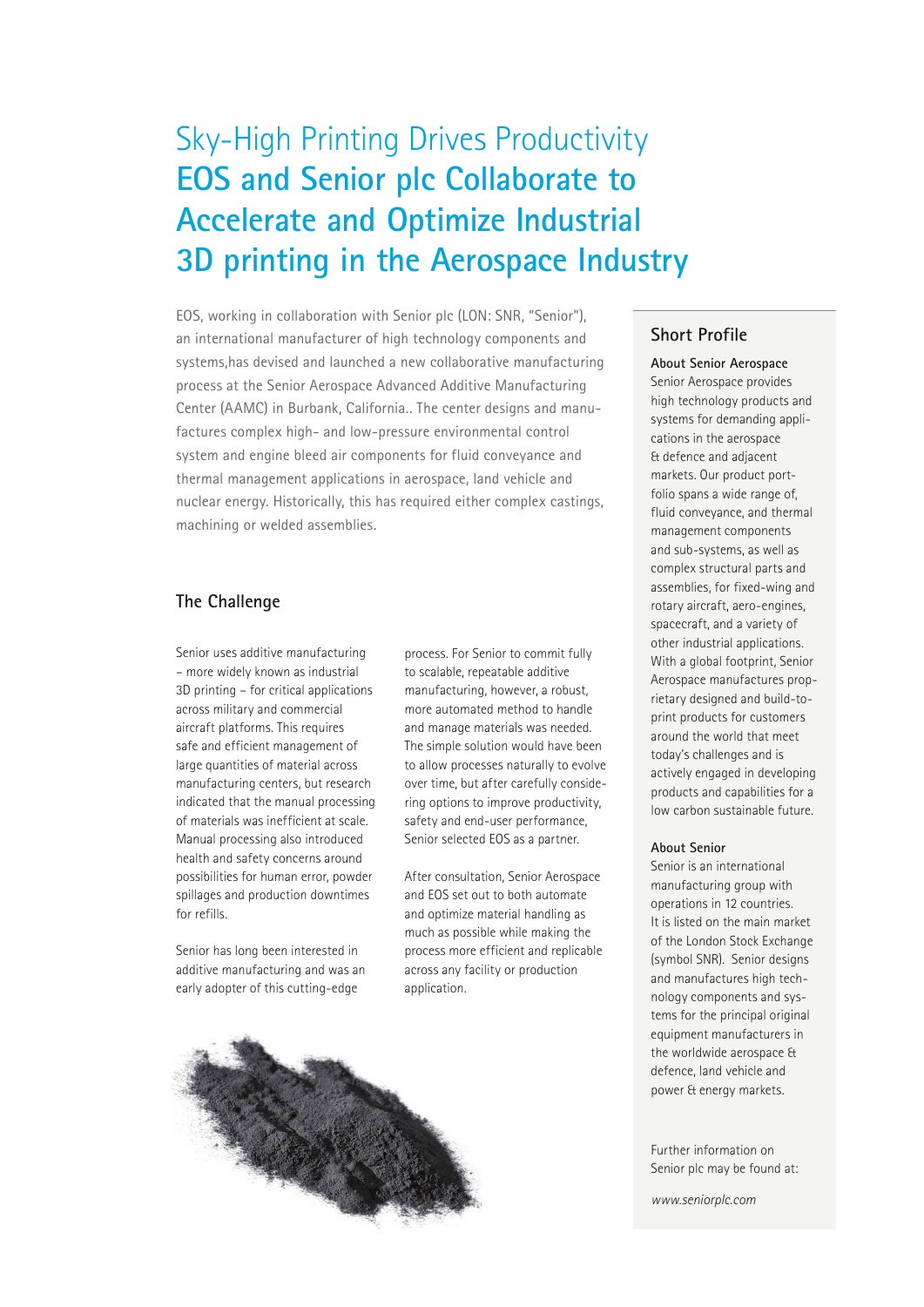# Sky-High Printing Drives Productivity **EOS and Senior plc Collaborate to Accelerate and Optimize Industrial 3D printing in the Aerospace Industry**

EOS, working in collaboration with Senior plc (LON: SNR, "Senior"), an international manufacturer of high technology components and systems,has devised and launched a new collaborative manufacturing process at the Senior Aerospace Advanced Additive Manufacturing Center (AAMC) in Burbank, California.. The center designs and manufactures complex high- and low-pressure environmental control system and engine bleed air components for fluid conveyance and thermal management applications in aerospace, land vehicle and nuclear energy. Historically, this has required either complex castings, machining or welded assemblies.

## **The Challenge**

Senior uses additive manufacturing – more widely known as industrial 3D printing – for critical applications across military and commercial aircraft platforms. This requires safe and efficient management of large quantities of material across manufacturing centers, but research indicated that the manual processing of materials was inefficient at scale. Manual processing also introduced health and safety concerns around possibilities for human error, powder spillages and production downtimes for refills.

Senior has long been interested in additive manufacturing and was an early adopter of this cutting-edge

process. For Senior to commit fully to scalable, repeatable additive manufacturing, however, a robust, more automated method to handle and manage materials was needed. The simple solution would have been to allow processes naturally to evolve over time, but after carefully considering options to improve productivity, safety and end-user performance, Senior selected EOS as a partner.

After consultation, Senior Aerospace and EOS set out to both automate and optimize material handling as much as possible while making the process more efficient and replicable across any facility or production application.



## **Short Profile**

**About Senior Aerospace**  Senior Aerospace provides high technology products and systems for demanding applications in the aerospace & defence and adjacent markets. Our product portfolio spans a wide range of, fluid conveyance, and thermal management components and sub-systems, as well as complex structural parts and assemblies, for fixed-wing and rotary aircraft, aero-engines, spacecraft, and a variety of other industrial applications. With a global footprint, Senior Aerospace manufactures proprietary designed and build-toprint products for customers around the world that meet today's challenges and is actively engaged in developing products and capabilities for a low carbon sustainable future.

### **About Senior**

Senior is an international manufacturing group with operations in 12 countries. It is listed on the main market of the London Stock Exchange (symbol SNR). Senior designs and manufactures high technology components and systems for the principal original equipment manufacturers in the worldwide aerospace & defence, land vehicle and power & energy markets.

Further information on Senior plc may be found at:

*www.seniorplc.com*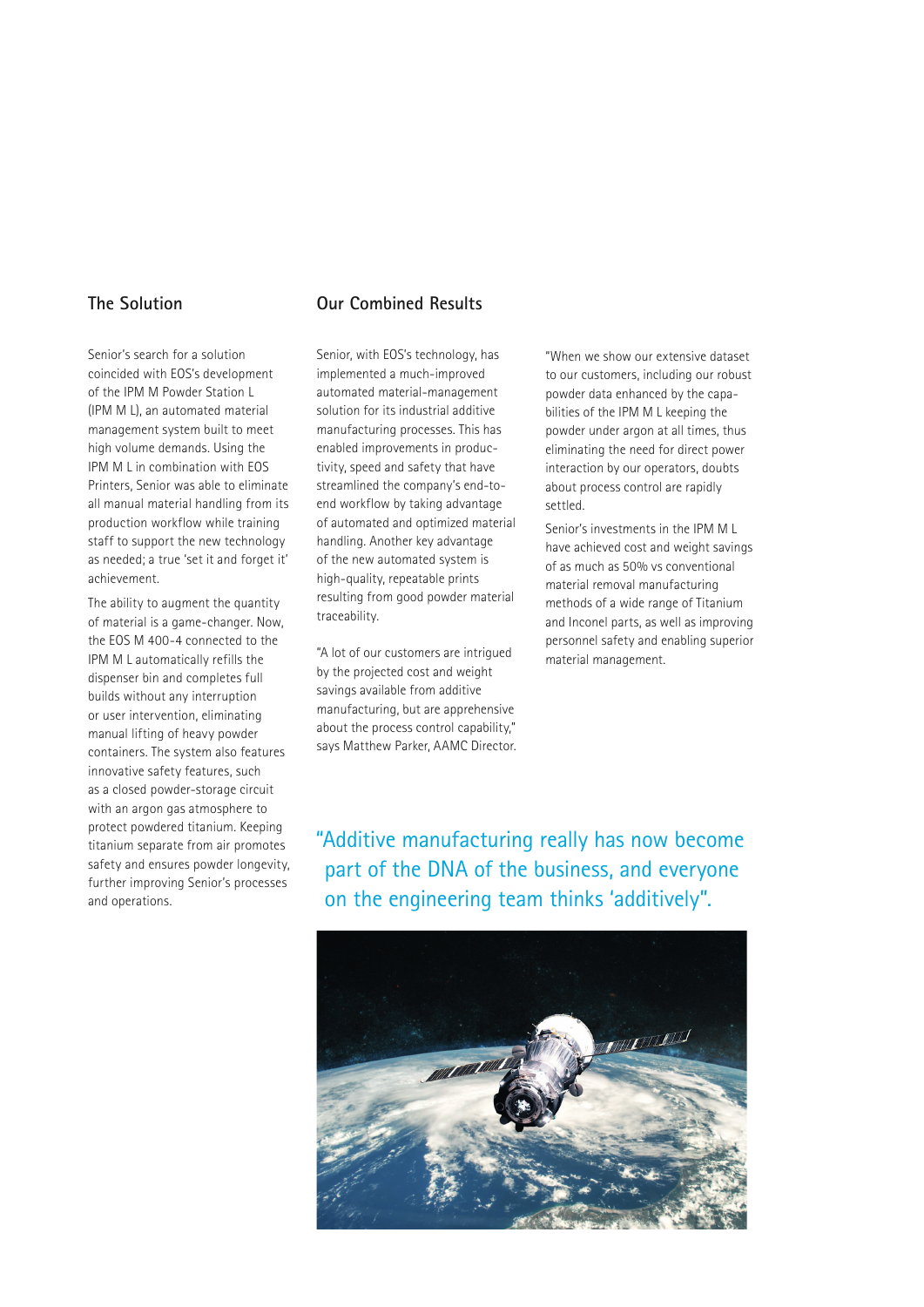## **The Solution**

Senior's search for a solution coincided with EOS's development of the IPM M Powder Station L (IPM M L), an automated material management system built to meet high volume demands. Using the IPM M L in combination with EOS Printers, Senior was able to eliminate all manual material handling from its production workflow while training staff to support the new technology as needed; a true 'set it and forget it' achievement.

The ability to augment the quantity of material is a game-changer. Now, the EOS M 400-4 connected to the IPM M L automatically refills the dispenser bin and completes full builds without any interruption or user intervention, eliminating manual lifting of heavy powder containers. The system also features innovative safety features, such as a closed powder-storage circuit with an argon gas atmosphere to protect powdered titanium. Keeping titanium separate from air promotes safety and ensures powder longevity, further improving Senior's processes and operations.

# **Our Combined Results**

Senior, with EOS's technology, has implemented a much-improved automated material-management solution for its industrial additive manufacturing processes. This has enabled improvements in productivity, speed and safety that have streamlined the company's end-toend workflow by taking advantage of automated and optimized material handling. Another key advantage of the new automated system is high-quality, repeatable prints resulting from good powder material traceability.

"A lot of our customers are intrigued by the projected cost and weight savings available from additive manufacturing, but are apprehensive about the process control capability," says Matthew Parker, AAMC Director. "When we show our extensive dataset to our customers, including our robust powder data enhanced by the capabilities of the IPM M L keeping the powder under argon at all times, thus eliminating the need for direct power interaction by our operators, doubts about process control are rapidly settled.

Senior's investments in the IPM M L have achieved cost and weight savings of as much as 50% vs conventional material removal manufacturing methods of a wide range of Titanium and Inconel parts, as well as improving personnel safety and enabling superior material management.

"Additive manufacturing really has now become part of the DNA of the business, and everyone on the engineering team thinks 'additively".